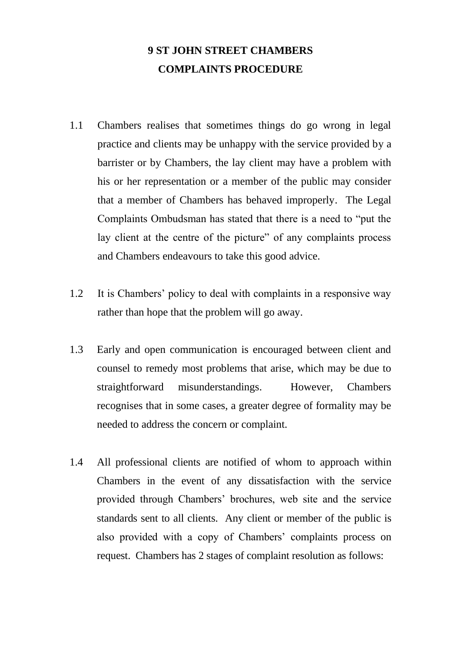## **9 ST JOHN STREET CHAMBERS COMPLAINTS PROCEDURE**

- 1.1 Chambers realises that sometimes things do go wrong in legal practice and clients may be unhappy with the service provided by a barrister or by Chambers, the lay client may have a problem with his or her representation or a member of the public may consider that a member of Chambers has behaved improperly. The Legal Complaints Ombudsman has stated that there is a need to "put the lay client at the centre of the picture" of any complaints process and Chambers endeavours to take this good advice.
- 1.2 It is Chambers' policy to deal with complaints in a responsive way rather than hope that the problem will go away.
- 1.3 Early and open communication is encouraged between client and counsel to remedy most problems that arise, which may be due to straightforward misunderstandings. However, Chambers recognises that in some cases, a greater degree of formality may be needed to address the concern or complaint.
- 1.4 All professional clients are notified of whom to approach within Chambers in the event of any dissatisfaction with the service provided through Chambers' brochures, web site and the service standards sent to all clients. Any client or member of the public is also provided with a copy of Chambers' complaints process on request. Chambers has 2 stages of complaint resolution as follows: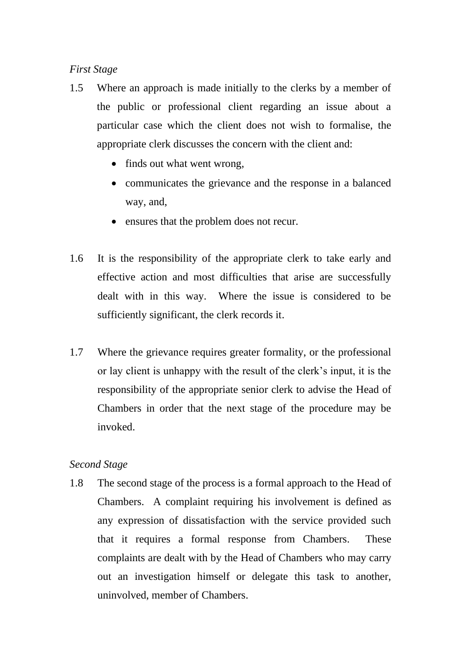## *First Stage*

- 1.5 Where an approach is made initially to the clerks by a member of the public or professional client regarding an issue about a particular case which the client does not wish to formalise, the appropriate clerk discusses the concern with the client and:
	- finds out what went wrong,
	- communicates the grievance and the response in a balanced way, and,
	- ensures that the problem does not recur.
- 1.6 It is the responsibility of the appropriate clerk to take early and effective action and most difficulties that arise are successfully dealt with in this way. Where the issue is considered to be sufficiently significant, the clerk records it.
- 1.7 Where the grievance requires greater formality, or the professional or lay client is unhappy with the result of the clerk's input, it is the responsibility of the appropriate senior clerk to advise the Head of Chambers in order that the next stage of the procedure may be invoked.

## *Second Stage*

1.8 The second stage of the process is a formal approach to the Head of Chambers. A complaint requiring his involvement is defined as any expression of dissatisfaction with the service provided such that it requires a formal response from Chambers. These complaints are dealt with by the Head of Chambers who may carry out an investigation himself or delegate this task to another, uninvolved, member of Chambers.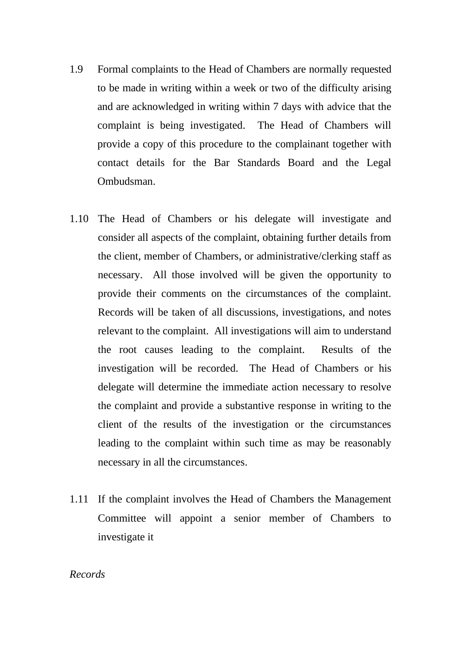- 1.9 Formal complaints to the Head of Chambers are normally requested to be made in writing within a week or two of the difficulty arising and are acknowledged in writing within 7 days with advice that the complaint is being investigated. The Head of Chambers will provide a copy of this procedure to the complainant together with contact details for the Bar Standards Board and the Legal Ombudsman.
- 1.10 The Head of Chambers or his delegate will investigate and consider all aspects of the complaint, obtaining further details from the client, member of Chambers, or administrative/clerking staff as necessary. All those involved will be given the opportunity to provide their comments on the circumstances of the complaint. Records will be taken of all discussions, investigations, and notes relevant to the complaint. All investigations will aim to understand the root causes leading to the complaint. Results of the investigation will be recorded. The Head of Chambers or his delegate will determine the immediate action necessary to resolve the complaint and provide a substantive response in writing to the client of the results of the investigation or the circumstances leading to the complaint within such time as may be reasonably necessary in all the circumstances.
- 1.11 If the complaint involves the Head of Chambers the Management Committee will appoint a senior member of Chambers to investigate it

## *Records*